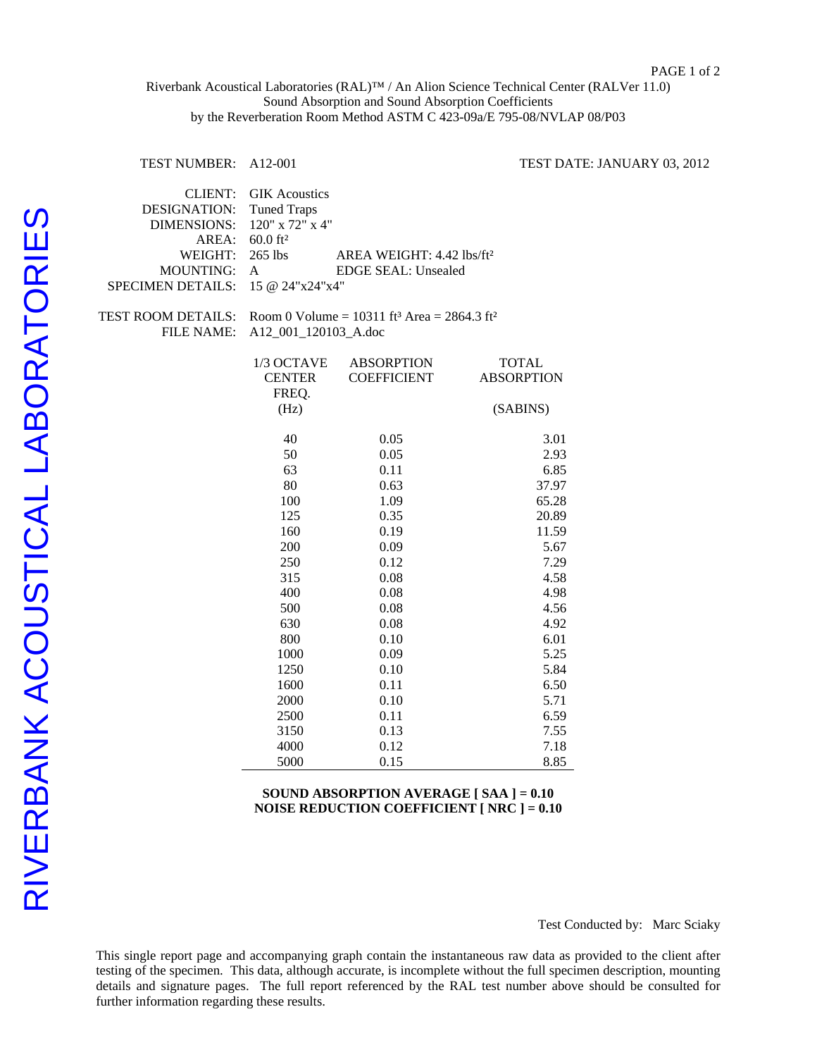## Riverbank Acoustical Laboratories (RAL)™ / An Alion Science Technical Center (RALVer 11.0) Sound Absorption and Sound Absorption Coefficients by the Reverberation Room Method ASTM C 423-09a/E 795-08/NVLAP 08/P03

TEST NUMBER: A12-001 TEST DATE: JANUARY 03, 2012

| <b>GIK</b> Acoustics<br><b>Tuned Traps</b><br>$60.0$ ft <sup>2</sup>    |                                                                                                                                                                                         |                                                                                                                                                                                                                                                                |
|-------------------------------------------------------------------------|-----------------------------------------------------------------------------------------------------------------------------------------------------------------------------------------|----------------------------------------------------------------------------------------------------------------------------------------------------------------------------------------------------------------------------------------------------------------|
|                                                                         | AREA WEIGHT: 4.42 lbs/ft <sup>2</sup>                                                                                                                                                   |                                                                                                                                                                                                                                                                |
|                                                                         |                                                                                                                                                                                         |                                                                                                                                                                                                                                                                |
| Room 0 Volume = $10311$ ft <sup>3</sup> Area = $2864.3$ ft <sup>2</sup> |                                                                                                                                                                                         |                                                                                                                                                                                                                                                                |
|                                                                         |                                                                                                                                                                                         |                                                                                                                                                                                                                                                                |
| 1/3 OCTAVE                                                              | <b>ABSORPTION</b>                                                                                                                                                                       | <b>TOTAL</b>                                                                                                                                                                                                                                                   |
|                                                                         |                                                                                                                                                                                         | <b>ABSORPTION</b>                                                                                                                                                                                                                                              |
| (Hz)                                                                    |                                                                                                                                                                                         | (SABINS)                                                                                                                                                                                                                                                       |
| 40                                                                      | 0.05                                                                                                                                                                                    | 3.01                                                                                                                                                                                                                                                           |
| 50                                                                      | 0.05                                                                                                                                                                                    | 2.93                                                                                                                                                                                                                                                           |
| 63                                                                      | 0.11                                                                                                                                                                                    | 6.85                                                                                                                                                                                                                                                           |
| 80                                                                      | 0.63                                                                                                                                                                                    | 37.97                                                                                                                                                                                                                                                          |
|                                                                         |                                                                                                                                                                                         | 65.28                                                                                                                                                                                                                                                          |
|                                                                         |                                                                                                                                                                                         | 20.89                                                                                                                                                                                                                                                          |
|                                                                         |                                                                                                                                                                                         | 11.59                                                                                                                                                                                                                                                          |
|                                                                         |                                                                                                                                                                                         | 5.67                                                                                                                                                                                                                                                           |
|                                                                         |                                                                                                                                                                                         | 7.29                                                                                                                                                                                                                                                           |
|                                                                         |                                                                                                                                                                                         | 4.58                                                                                                                                                                                                                                                           |
|                                                                         |                                                                                                                                                                                         | 4.98                                                                                                                                                                                                                                                           |
|                                                                         |                                                                                                                                                                                         | 4.56                                                                                                                                                                                                                                                           |
|                                                                         |                                                                                                                                                                                         | 4.92                                                                                                                                                                                                                                                           |
|                                                                         |                                                                                                                                                                                         | 6.01                                                                                                                                                                                                                                                           |
|                                                                         |                                                                                                                                                                                         | 5.25                                                                                                                                                                                                                                                           |
|                                                                         |                                                                                                                                                                                         | 5.84                                                                                                                                                                                                                                                           |
|                                                                         |                                                                                                                                                                                         | 6.50                                                                                                                                                                                                                                                           |
|                                                                         |                                                                                                                                                                                         | 5.71                                                                                                                                                                                                                                                           |
|                                                                         |                                                                                                                                                                                         | 6.59                                                                                                                                                                                                                                                           |
|                                                                         |                                                                                                                                                                                         | 7.55                                                                                                                                                                                                                                                           |
|                                                                         |                                                                                                                                                                                         | 7.18                                                                                                                                                                                                                                                           |
|                                                                         |                                                                                                                                                                                         | 8.85                                                                                                                                                                                                                                                           |
|                                                                         | 265 lbs<br>$\mathbf{A}$<br><b>CENTER</b><br>FREQ.<br>100<br>125<br>160<br>200<br>250<br>315<br>400<br>500<br>630<br>800<br>1000<br>1250<br>1600<br>2000<br>2500<br>3150<br>4000<br>5000 | 120" x 72" x 4"<br><b>EDGE SEAL: Unsealed</b><br>15 @ 24"x24"x4"<br>A12_001_120103_A.doc<br><b>COEFFICIENT</b><br>1.09<br>0.35<br>0.19<br>0.09<br>0.12<br>0.08<br>0.08<br>0.08<br>0.08<br>0.10<br>0.09<br>0.10<br>0.11<br>0.10<br>0.11<br>0.13<br>0.12<br>0.15 |

## **SOUND ABSORPTION AVERAGE [ SAA ] = 0.10 NOISE REDUCTION COEFFICIENT [ NRC ] = 0.10**

This single report page and accompanying graph contain the instantaneous raw data as provided to the client after testing of the specimen. This data, although accurate, is incomplete without the full specimen description, mounting details and signature pages. The full report referenced by the RAL test number above should be consulted for further information regarding these results.